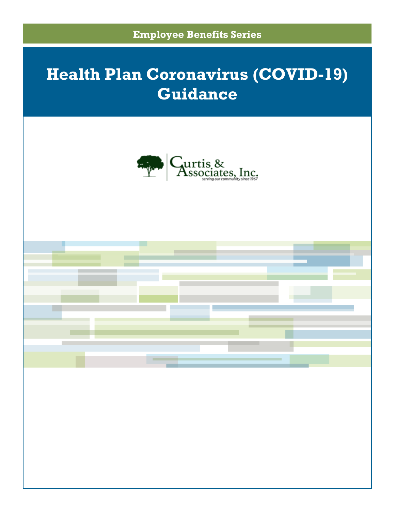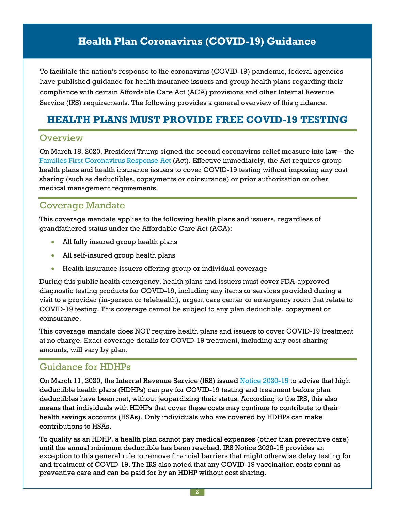To facilitate the nation's response to the coronavirus (COVID-19) pandemic, federal agencies have published guidance for health insurance issuers and group health plans regarding their compliance with certain Affordable Care Act (ACA) provisions and other Internal Revenue Service (IRS) requirements. The following provides a general overview of this guidance.

## **HEALTH PLANS MUST PROVIDE FREE COVID-19 TESTING**

#### **Overview**

On March 18, 2020, President Trump signed the second coronavirus relief measure into law – the Families First [Coronavirus](https://www.congress.gov/116/bills/hr6201/BILLS-116hr6201enr.pdf) Response Act (Act). Effective immediately, the Act requires group health plans and health insurance issuers to cover COVID-19 testing without imposing any cost sharing (such as deductibles, copayments or coinsurance) or prior authorization or other medical management requirements.

### Coverage Mandate

This coverage mandate applies to the following health plans and issuers, regardless of grandfathered status under the Affordable Care Act (ACA):

- All fully insured group health plans
- All self-insured group health plans
- Health insurance issuers offering group or individual coverage

During this public health emergency, health plans and issuers must cover FDA-approved diagnostic testing products for COVID-19, including any items or services provided during a visit to a provider (in-person or telehealth), urgent care center or emergency room that relate to COVID-19 testing. This coverage cannot be subject to any plan deductible, copayment or coinsurance.

This coverage mandate does NOT require health plans and issuers to cover COVID-19 treatment at no charge. Exact coverage details for COVID-19 treatment, including any cost-sharing amounts, will vary by plan.

### Guidance for HDHPs

On March 11, 2020, the Internal Revenue Service (IRS) issued Notice [2020-15](https://www.irs.gov/pub/irs-drop/n-20-15.pdf) to advise that high deductible health plans (HDHPs) can pay for COVID-19 testing and treatment before plan deductibles have been met, without jeopardizing their status. According to the IRS, this also means that individuals with HDHPs that cover these costs may continue to contribute to their health savings accounts (HSAs). Only individuals who are covered by HDHPs can make contributions to HSAs.

To qualify as an HDHP, a health plan cannot pay medical expenses (other than preventive care) until the annual minimum deductible has been reached. IRS Notice 2020-15 provides an exception to this general rule to remove financial barriers that might otherwise delay testing for and treatment of COVID-19. The IRS also noted that any COVID-19 vaccination costs count as preventive care and can be paid for by an HDHP without cost sharing.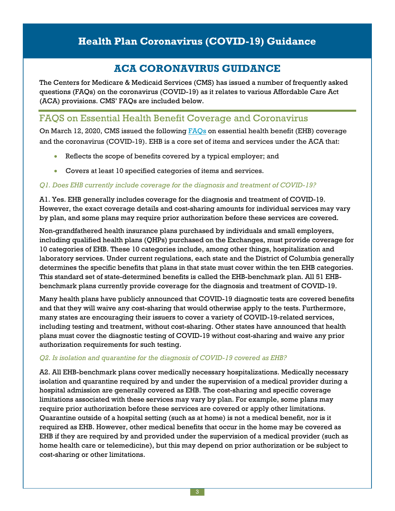## **ACA CORONAVIRUS GUIDANCE**

The Centers for Medicare & Medicaid Services (CMS) has issued a number of frequently asked questions (FAQs) on the coronavirus (COVID-19) as it relates to various Affordable Care Act (ACA) provisions. CMS' FAQs are included below.

### FAQS on Essential Health Benefit Coverage and Coronavirus

On March 12, 2020, CMS issued the following [FAQs](https://www.cms.gov/CCIIO/Resources/Fact-Sheets-and-FAQs/Downloads/EHB-Benchmark-Coverage-of-COVID-19.pdf) on essential health benefit (EHB) coverage and the coronavirus (COVID-19). EHB is a core set of items and services under the ACA that:

- Reflects the scope of benefits covered by a typical employer; and
- Covers at least 10 specified categories of items and services.

#### *Q1. Does EHB currently include coverage for the diagnosis and treatment of COVID-19?*

A1. Yes. EHB generally includes coverage for the diagnosis and treatment of COVID-19. However, the exact coverage details and cost-sharing amounts for individual services may vary by plan, and some plans may require prior authorization before these services are covered.

Non-grandfathered health insurance plans purchased by individuals and small employers, including qualified health plans (QHPs) purchased on the Exchanges, must provide coverage for 10 categories of EHB. These 10 categories include, among other things, hospitalization and laboratory services. Under current regulations, each state and the District of Columbia generally determines the specific benefits that plans in that state must cover within the ten EHB categories. This standard set of state-determined benefits is called the EHB-benchmark plan. All 51 EHBbenchmark plans currently provide coverage for the diagnosis and treatment of COVID-19.

Many health plans have publicly announced that COVID-19 diagnostic tests are covered benefits and that they will waive any cost-sharing that would otherwise apply to the tests. Furthermore, many states are encouraging their issuers to cover a variety of COVID-19-related services, including testing and treatment, without cost-sharing. Other states have announced that health plans must cover the diagnostic testing of COVID-19 without cost-sharing and waive any prior authorization requirements for such testing.

#### *Q2. Is isolation and quarantine for the diagnosis of COVID-19 covered as EHB?*

A2. All EHB-benchmark plans cover medically necessary hospitalizations. Medically necessary isolation and quarantine required by and under the supervision of a medical provider during a hospital admission are generally covered as EHB. The cost-sharing and specific coverage limitations associated with these services may vary by plan. For example, some plans may require prior authorization before these services are covered or apply other limitations. Quarantine outside of a hospital setting (such as at home) is not a medical benefit, nor is it required as EHB. However, other medical benefits that occur in the home may be covered as EHB if they are required by and provided under the supervision of a medical provider (such as home health care or telemedicine), but this may depend on prior authorization or be subject to cost-sharing or other limitations.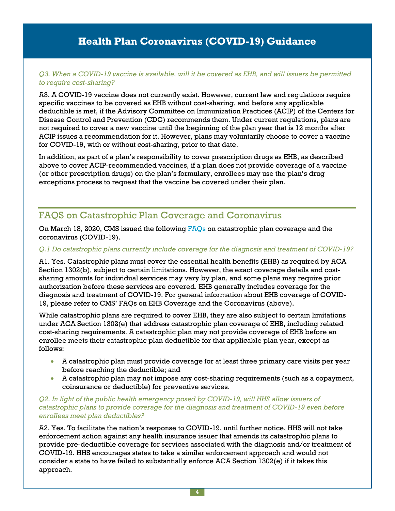#### *Q3. When a COVID-19 vaccine is available, will it be covered as EHB, and will issuers be permitted to require cost-sharing?*

A3. A COVID-19 vaccine does not currently exist. However, current law and regulations require specific vaccines to be covered as EHB without cost-sharing, and before any applicable deductible is met, if the Advisory Committee on Immunization Practices (ACIP) of the Centers for Disease Control and Prevention (CDC) recommends them. Under current regulations, plans are not required to cover a new vaccine until the beginning of the plan year that is 12 months after ACIP issues a recommendation for it. However, plans may voluntarily choose to cover a vaccine for COVID-19, with or without cost-sharing, prior to that date.

In addition, as part of a plan's responsibility to cover prescription drugs as EHB, as described above to cover ACIP-recommended vaccines, if a plan does not provide coverage of a vaccine (or other prescription drugs) on the plan's formulary, enrollees may use the plan's drug exceptions process to request that the vaccine be covered under their plan.

### FAQS on Catastrophic Plan Coverage and Coronavirus

On March 18, 2020, CMS issued the following [FAQs](https://www.cms.gov/CCIIO/Resources/Files/Catastrophic-Coverage-of-COVID-19.pdf) on catastrophic plan coverage and the coronavirus (COVID-19).

#### *Q.1 Do catastrophic plans currently include coverage for the diagnosis and treatment of COVID-19?*

A1. Yes. Catastrophic plans must cover the essential health benefits (EHB) as required by ACA Section 1302(b), subject to certain limitations. However, the exact coverage details and costsharing amounts for individual services may vary by plan, and some plans may require prior authorization before these services are covered. EHB generally includes coverage for the diagnosis and treatment of COVID-19. For general information about EHB coverage of COVID-19, please refer to CMS' FAQs on EHB Coverage and the Coronavirus (above).

While catastrophic plans are required to cover EHB, they are also subject to certain limitations under ACA Section 1302(e) that address catastrophic plan coverage of EHB, including related cost-sharing requirements. A catastrophic plan may not provide coverage of EHB before an enrollee meets their catastrophic plan deductible for that applicable plan year, except as follows:

- A catastrophic plan must provide coverage for at least three primary care visits per year before reaching the deductible; and
- A catastrophic plan may not impose any cost-sharing requirements (such as a copayment, coinsurance or deductible) for preventive services.

#### *Q2. In light of the public health emergency posed by COVID-19, will HHS allow issuers of catastrophic plans to provide coverage for the diagnosis and treatment of COVID-19 even before enrollees meet plan deductibles?*

A2. Yes. To facilitate the nation's response to COVID-19, until further notice, HHS will not take enforcement action against any health insurance issuer that amends its catastrophic plans to provide pre-deductible coverage for services associated with the diagnosis and/or treatment of COVID-19. HHS encourages states to take a similar enforcement approach and would not consider a state to have failed to substantially enforce ACA Section 1302(e) if it takes this approach.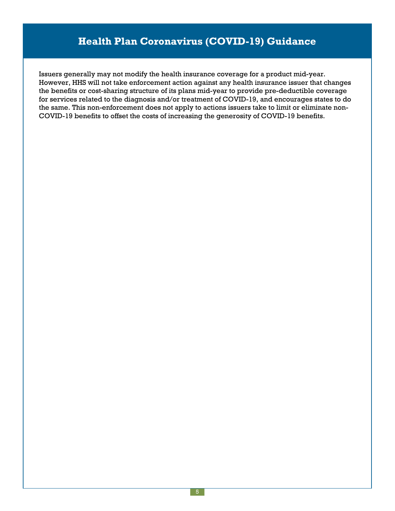Issuers generally may not modify the health insurance coverage for a product mid-year. However, HHS will not take enforcement action against any health insurance issuer that changes the benefits or cost-sharing structure of its plans mid-year to provide pre-deductible coverage for services related to the diagnosis and/or treatment of COVID-19, and encourages states to do the same. This non-enforcement does not apply to actions issuers take to limit or eliminate non-COVID-19 benefits to offset the costs of increasing the generosity of COVID-19 benefits.